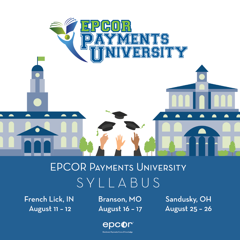

## **EPCOR PAYMENTS UNIVERSITY** SYLLABUS

French Lick, IN August 11 - 12

**Branson, MO** August 16 - 17 Sandusky, OH August 25 - 26

epcor Electronic Payments Core of Knowledge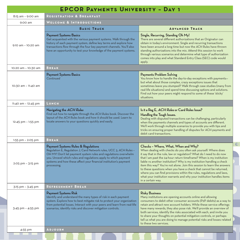| <b>EPCOR PAYMENTS UNIVERSITY - DAY 1</b>      |                                                                                                                                                                                                                                                                                                                                     |                                                                                                                                                                                                                                                                                                                                                                                                                                                                                                                                                                                                                                                      |
|-----------------------------------------------|-------------------------------------------------------------------------------------------------------------------------------------------------------------------------------------------------------------------------------------------------------------------------------------------------------------------------------------|------------------------------------------------------------------------------------------------------------------------------------------------------------------------------------------------------------------------------------------------------------------------------------------------------------------------------------------------------------------------------------------------------------------------------------------------------------------------------------------------------------------------------------------------------------------------------------------------------------------------------------------------------|
| REGISTRATION & BREAKFAST<br>8:15 am - 9:00 am |                                                                                                                                                                                                                                                                                                                                     |                                                                                                                                                                                                                                                                                                                                                                                                                                                                                                                                                                                                                                                      |
| 9:00 am                                       | WELCOME & INTRODUCTIONS                                                                                                                                                                                                                                                                                                             |                                                                                                                                                                                                                                                                                                                                                                                                                                                                                                                                                                                                                                                      |
|                                               | <b>BASIC TRACK</b>                                                                                                                                                                                                                                                                                                                  | <b>ADVANCED TRACK</b>                                                                                                                                                                                                                                                                                                                                                                                                                                                                                                                                                                                                                                |
| 9:10 am - 10:20 am                            | <b>Payment Systems Basics</b><br>Get acquainted with the various payment systems. Walk through the<br>history of each payment system, define key terms and explore how<br>transactions flow through the four key payment channels. You'll also<br>have an opportunity to test your knowledge of the payment systems.                | Single, Recurring, Standing Oh My!<br>There are several different authorizations that an Originator can<br>obtain in today's environment. Single and recurring transactions<br>have been around a long time but now the ACH Rules have thrown<br>standing authorizations into the mix. Attend this session to work<br>through various scenarios and determine what type of authorization<br>comes into play and what Standard Entry Class (SEC) code would<br>apply.                                                                                                                                                                                 |
| 10:20 am - 10:30 am                           | <b>BREAK</b>                                                                                                                                                                                                                                                                                                                        |                                                                                                                                                                                                                                                                                                                                                                                                                                                                                                                                                                                                                                                      |
| 10:30 am - 11:40 am                           | <b>Payment Systems Basics</b><br>Continued                                                                                                                                                                                                                                                                                          | <b>Payments Problem Solving</b><br>You know how to handle the day-to-day exceptions with payments-<br>but what about those complex, crazy exceptions issues that<br>sometimes leave you stumped? Walk through case studies (many from<br>real-life situations) and spend time discussing options and solutions.<br>Find out how your peers might respond to some of these 'sticky'<br>situations.                                                                                                                                                                                                                                                    |
| 11:40 am - 12:45 pm                           | <b>Lunch</b>                                                                                                                                                                                                                                                                                                                        |                                                                                                                                                                                                                                                                                                                                                                                                                                                                                                                                                                                                                                                      |
| 12:45 pm - 1:55 pm                            | Navigating the ACH Rules<br>Find out how to navigate through the ACH Rules book. Discover the<br>layout of the ACH Rules book and how it should be used. Learn to<br>locate answers to your questions quickly and easily.                                                                                                           | Is it a Reg E, ACH Rules or Card Rules Issue?<br>Handling the Tough Issues.<br>Dealing with disputed transactions can be challenging, particularly<br>when the payments channels and types of accounts are different.<br>We'll work through multiple scenarios to provide you with tips and<br>tricks on ensuring proper handling of disputes for ACH payments and<br>debit card transactions.                                                                                                                                                                                                                                                       |
| 1:55 pm - 2:05 pm                             | <b>BREAK</b><br>$\circledcirc$                                                                                                                                                                                                                                                                                                      |                                                                                                                                                                                                                                                                                                                                                                                                                                                                                                                                                                                                                                                      |
| 2:05 pm - 3:15 pm                             | Payment Systems Rules & Regulations<br>Regulation E, Regulation J, Card Network rules, UCC 3, ACH Rules -<br>OH MY! Don't let payment system rules and regulations overwhelm<br>you. Unravel which rules and regulations apply to which payment<br>systems and how these affect your financial institution's payment<br>processing. | Checks - Where, What, When and Why?<br>When dealing with checks do you often ask yourself: Where does<br>it say that in the rule, law or regulation? What do I need to do now<br>that I am past the 24-hour return timeframe? When is my institution<br>liable vs another institution? Why is my institution handling a check<br>item this way? You're not alone. Join this session to learn the answers<br>to these questions when you have a check that cannot be returned,<br>where you can find provisions within the rules, regulations and laws,<br>what your institution warrants and why your institution handles items<br>in a certain way. |
| 3:15 pm - 3:45 pm                             | REFRESHMENT BREAK                                                                                                                                                                                                                                                                                                                   |                                                                                                                                                                                                                                                                                                                                                                                                                                                                                                                                                                                                                                                      |
| 3:45 pm - 4:55 pm                             | <b>Payment Systems Risk</b><br>Identify and understand the many types of risk in each payment<br>system. Explore how to best mitigate risk to protect your organization<br>from potential losses. Interact with your peers and learn from real-life<br>scenarios, identify risks and discover mitigation controls.                  | <b>Risky Business</b><br>Many institutions are opening accounts online and allowing<br>consumers to debit other consumer accounts (P2P debits) as a way to<br>retain and attract new account holders. While these service offerings<br>have many rewards, they also pose risk. We'll provide an overview of<br>both services, identify the risks associated with each, and invite you<br>to share your thoughts on potential mitigation controls, or perhaps<br>tell us what you are doing to manage potential risks and losses related<br>to these two services.                                                                                    |
| 4:55 pm                                       | <b>ADJOURN</b>                                                                                                                                                                                                                                                                                                                      |                                                                                                                                                                                                                                                                                                                                                                                                                                                                                                                                                                                                                                                      |
|                                               |                                                                                                                                                                                                                                                                                                                                     |                                                                                                                                                                                                                                                                                                                                                                                                                                                                                                                                                                                                                                                      |